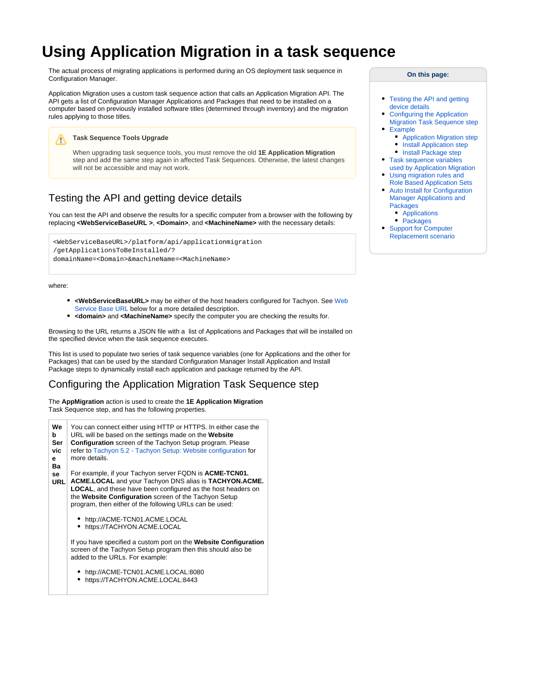# **Using Application Migration in a task sequence**

The actual process of migrating applications is performed during an OS deployment task sequence in Configuration Manager.

Application Migration uses a custom task sequence action that calls an Application Migration API. The API gets a list of Configuration Manager Applications and Packages that need to be installed on a computer based on previously installed software titles (determined through inventory) and the migration rules applying to those titles.

**Task Sequence Tools Upgrade** Δ When upgrading task sequence tools, you must remove the old **1E Application Migration** step and add the same step again in affected Task Sequences. Otherwise, the latest changes will not be accessible and may not work.

# <span id="page-0-1"></span>Testing the API and getting device details

You can test the API and observe the results for a specific computer from a browser with the following by replacing **<WebServiceBaseURL >**, **<Domain>**, and **<MachineName>** with the necessary details:

```
<WebServiceBaseURL>/platform/api/applicationmigration
/getApplicationsToBeInstalled/?
domainName=<Domain>&machineName=<MachineName>
```
where:

- **<WebServiceBaseURL>** may be either of the host headers configured for Tachyon. See [Web](#page-0-0)  [Service Base URL](#page-0-0) below for a more detailed description.
- **•** <domain> and <MachineName> specify the computer you are checking the results for.

Browsing to the URL returns a JSON file with a list of Applications and Packages that will be installed on the specified device when the task sequence executes.

This list is used to populate two series of task sequence variables (one for Applications and the other for Packages) that can be used by the standard Configuration Manager Install Application and Install Package steps to dynamically install each application and package returned by the API.

# <span id="page-0-2"></span>Configuring the Application Migration Task Sequence step

The **AppMigration** action is used to create the **1E Application Migration** Task Sequence step, and has the following properties.

<span id="page-0-0"></span>

| We<br>b  | You can connect either using HTTP or HTTPS. In either case the<br>URL will be based on the settings made on the Website |  |
|----------|-------------------------------------------------------------------------------------------------------------------------|--|
| Ser      | <b>Configuration</b> screen of the Tachyon Setup program. Please                                                        |  |
| vic      | refer to Tachyon 5.2 - Tachyon Setup: Website configuration for                                                         |  |
| е        | more details.                                                                                                           |  |
| Ba<br>se | For example, if your Tachyon server FQDN is <b>ACME-TCN01.</b>                                                          |  |
| URL      | <b>ACME.LOCAL and your Tachyon DNS alias is TACHYON.ACME.</b>                                                           |  |
|          | <b>LOCAL</b> , and these have been configured as the host headers on                                                    |  |
|          | the Website Configuration screen of the Tachyon Setup                                                                   |  |
|          | program, then either of the following URLs can be used:                                                                 |  |
|          | http://ACME-TCN01.ACME.LOCAL                                                                                            |  |
|          | https://TACHYON.ACME.LOCAL                                                                                              |  |
|          |                                                                                                                         |  |
|          | If you have specified a custom port on the Website Configuration                                                        |  |
|          | screen of the Tachyon Setup program then this should also be<br>added to the URLs. For example:                         |  |
|          |                                                                                                                         |  |
|          | http://ACME-TCN01.ACME.LOCAL:8080                                                                                       |  |
|          | https://TACHYON.ACME.LOCAL:8443                                                                                         |  |

#### **On this page:**

- $\bullet$ [Testing the API and getting](#page-0-1)  [device details](#page-0-1)
- [Configuring the Application](#page-0-2)  [Migration Task Sequence step](#page-0-2)
	- **[Example](#page-2-0)**
	- [Application Migration step](#page-2-1) **[Install Application step](#page-3-0)**
	- [Install Package step](#page-3-1)
- Task sequence variables
- [used by Application Migration](#page-4-0) [Using migration rules and](#page-4-1)
- [Role Based Application Sets](#page-4-1)
- [Auto Install for Configuration](#page-4-2)  [Manager Applications and](#page-4-2)  [Packages](#page-4-2)
	- [Applications](#page-5-0)
	- [Packages](#page-5-1)
- [Support for Computer](#page-5-2)  [Replacement scenario](#page-5-2)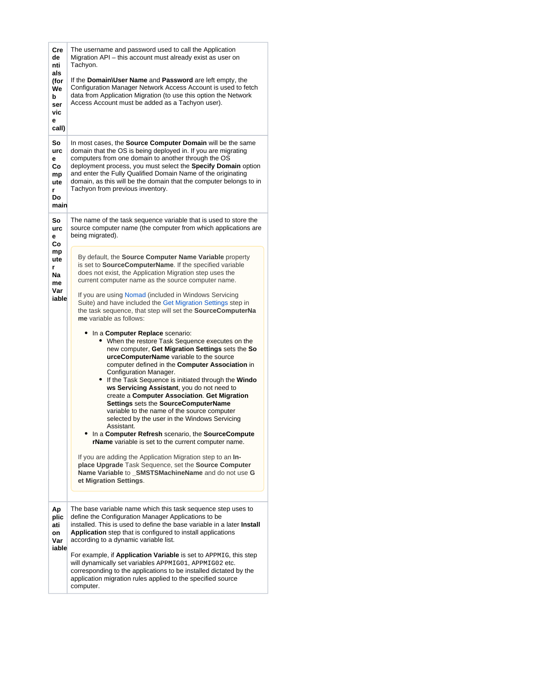| Cre<br>de<br>nti<br>als<br>(for                      | The username and password used to call the Application<br>Migration API - this account must already exist as user on<br>Tachyon.<br>If the Domain\User Name and Password are left empty, the                                                                                                                                                                                                                                                                                                                                                                                                                                                                                                                                                                                                                                                                                                                                                                                                                                                                                                                                                                                                                                                                                                                                                              |
|------------------------------------------------------|-----------------------------------------------------------------------------------------------------------------------------------------------------------------------------------------------------------------------------------------------------------------------------------------------------------------------------------------------------------------------------------------------------------------------------------------------------------------------------------------------------------------------------------------------------------------------------------------------------------------------------------------------------------------------------------------------------------------------------------------------------------------------------------------------------------------------------------------------------------------------------------------------------------------------------------------------------------------------------------------------------------------------------------------------------------------------------------------------------------------------------------------------------------------------------------------------------------------------------------------------------------------------------------------------------------------------------------------------------------|
| We<br>b<br>ser<br>vic<br>е<br>call)                  | Configuration Manager Network Access Account is used to fetch<br>data from Application Migration (to use this option the Network<br>Access Account must be added as a Tachyon user).                                                                                                                                                                                                                                                                                                                                                                                                                                                                                                                                                                                                                                                                                                                                                                                                                                                                                                                                                                                                                                                                                                                                                                      |
| So<br>urc<br>е<br>Сo<br>mp<br>ute<br>r<br>Do<br>main | In most cases, the Source Computer Domain will be the same<br>domain that the OS is being deployed in. If you are migrating<br>computers from one domain to another through the OS<br>deployment process, you must select the Specify Domain option<br>and enter the Fully Qualified Domain Name of the originating<br>domain, as this will be the domain that the computer belongs to in<br>Tachyon from previous inventory.                                                                                                                                                                                                                                                                                                                                                                                                                                                                                                                                                                                                                                                                                                                                                                                                                                                                                                                             |
| So<br>urc<br>е<br>Co                                 | The name of the task sequence variable that is used to store the<br>source computer name (the computer from which applications are<br>being migrated).                                                                                                                                                                                                                                                                                                                                                                                                                                                                                                                                                                                                                                                                                                                                                                                                                                                                                                                                                                                                                                                                                                                                                                                                    |
| mp<br>ute<br>r<br>Na<br>me<br>Var<br>iable           | By default, the Source Computer Name Variable property<br>is set to SourceComputerName. If the specified variable<br>does not exist, the Application Migration step uses the<br>current computer name as the source computer name.<br>If you are using Nomad (included in Windows Servicing<br>Suite) and have included the Get Migration Settings step in<br>the task sequence, that step will set the SourceComputerNa<br>me variable as follows:<br>In a Computer Replace scenario:<br>When the restore Task Sequence executes on the<br>new computer, Get Migration Settings sets the So<br>urceComputerName variable to the source<br>computer defined in the Computer Association in<br>Configuration Manager.<br>If the Task Sequence is initiated through the Windo<br>ws Servicing Assistant, you do not need to<br>create a Computer Association. Get Migration<br>Settings sets the SourceComputerName<br>variable to the name of the source computer<br>selected by the user in the Windows Servicing<br>Assistant.<br>In a Computer Refresh scenario, the SourceCompute<br><b>rName</b> variable is set to the current computer name.<br>If you are adding the Application Migration step to an In-<br>place Upgrade Task Sequence, set the Source Computer<br>Name Variable to _SMSTSMachineName and do not use G<br>et Migration Settings. |
| Ap<br>plic<br>ati<br>on<br>Var<br>iable              | The base variable name which this task sequence step uses to<br>define the Configuration Manager Applications to be<br>installed. This is used to define the base variable in a later Install<br>Application step that is configured to install applications<br>according to a dynamic variable list.                                                                                                                                                                                                                                                                                                                                                                                                                                                                                                                                                                                                                                                                                                                                                                                                                                                                                                                                                                                                                                                     |
|                                                      | For example, if Application Variable is set to APPMIG, this step<br>will dynamically set variables APPMIG01, APPMIG02 etc.<br>corresponding to the applications to be installed dictated by the<br>application migration rules applied to the specified source<br>computer.                                                                                                                                                                                                                                                                                                                                                                                                                                                                                                                                                                                                                                                                                                                                                                                                                                                                                                                                                                                                                                                                               |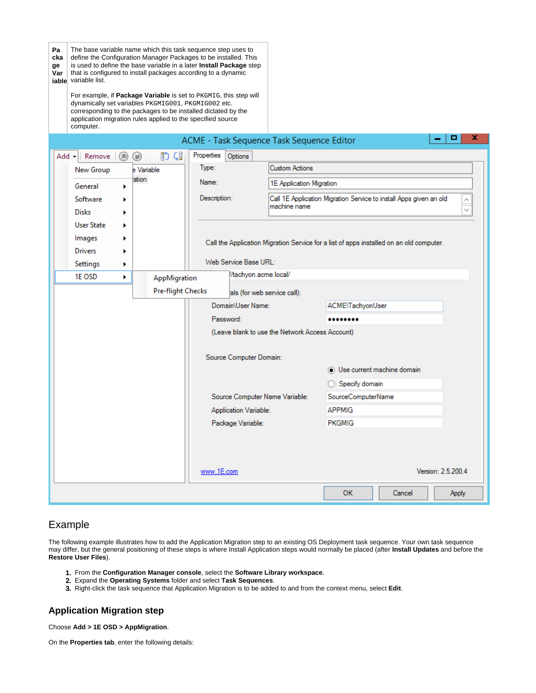| Pa<br>cka<br>ge<br>Var | that is configured to install packages according to a dynamic<br>iable variable list.<br>dynamically set variables PKGMIG001, PKGMIG002 etc.<br>application migration rules applied to the specified source<br>computer. |                   | The base variable name which this task sequence step uses to<br>define the Configuration Manager Packages to be installed. This<br>is used to define the base variable in a later <b>Install Package</b> step<br>For example, if Package Variable is set to PKGMIG, this step will<br>corresponding to the packages to be installed dictated by the |                                                 |                                                                                         |
|------------------------|--------------------------------------------------------------------------------------------------------------------------------------------------------------------------------------------------------------------------|-------------------|-----------------------------------------------------------------------------------------------------------------------------------------------------------------------------------------------------------------------------------------------------------------------------------------------------------------------------------------------------|-------------------------------------------------|-----------------------------------------------------------------------------------------|
|                        |                                                                                                                                                                                                                          |                   | ACME - Task Sequence Task Sequence Editor                                                                                                                                                                                                                                                                                                           |                                                 | x<br>п                                                                                  |
|                        | Add - Remove<br>$(\approx)$                                                                                                                                                                                              | 酌帽<br>$(\approx)$ | Properties<br>Options                                                                                                                                                                                                                                                                                                                               |                                                 |                                                                                         |
|                        | New Group                                                                                                                                                                                                                | e Variable        | Type:                                                                                                                                                                                                                                                                                                                                               | <b>Custom Actions</b>                           |                                                                                         |
|                        | General<br>٠                                                                                                                                                                                                             | ation             | Name:                                                                                                                                                                                                                                                                                                                                               | 1E Application Migration                        |                                                                                         |
|                        | Software                                                                                                                                                                                                                 |                   | Description:                                                                                                                                                                                                                                                                                                                                        |                                                 | Call 1E Application Migration Service to install Apps given an old                      |
|                        | <b>Disks</b>                                                                                                                                                                                                             |                   |                                                                                                                                                                                                                                                                                                                                                     | machine name                                    |                                                                                         |
|                        | <b>User State</b>                                                                                                                                                                                                        |                   |                                                                                                                                                                                                                                                                                                                                                     |                                                 |                                                                                         |
|                        | Images                                                                                                                                                                                                                   |                   |                                                                                                                                                                                                                                                                                                                                                     |                                                 | Call the Application Migration Service for a list of apps installed on an old computer. |
|                        | Drivers                                                                                                                                                                                                                  |                   |                                                                                                                                                                                                                                                                                                                                                     |                                                 |                                                                                         |
|                        | Settings<br>▶                                                                                                                                                                                                            |                   | Web Service Base URL:                                                                                                                                                                                                                                                                                                                               | //tachyon.acme.local/                           |                                                                                         |
|                        | 1E OSD<br>r                                                                                                                                                                                                              | AppMigration      |                                                                                                                                                                                                                                                                                                                                                     |                                                 |                                                                                         |
|                        |                                                                                                                                                                                                                          | Pre-flight Checks |                                                                                                                                                                                                                                                                                                                                                     | als (for web service call):                     |                                                                                         |
|                        |                                                                                                                                                                                                                          |                   | Domain\User Name:                                                                                                                                                                                                                                                                                                                                   |                                                 | ACME\TachyonUser                                                                        |
|                        |                                                                                                                                                                                                                          |                   | Password:                                                                                                                                                                                                                                                                                                                                           | (Leave blank to use the Network Access Account) |                                                                                         |
|                        |                                                                                                                                                                                                                          |                   |                                                                                                                                                                                                                                                                                                                                                     |                                                 |                                                                                         |
|                        |                                                                                                                                                                                                                          |                   | Source Computer Domain:                                                                                                                                                                                                                                                                                                                             |                                                 |                                                                                         |
|                        |                                                                                                                                                                                                                          |                   |                                                                                                                                                                                                                                                                                                                                                     |                                                 | O Use current machine domain                                                            |
|                        |                                                                                                                                                                                                                          |                   |                                                                                                                                                                                                                                                                                                                                                     |                                                 | ◯ Specify domain                                                                        |
|                        |                                                                                                                                                                                                                          |                   |                                                                                                                                                                                                                                                                                                                                                     | Source Computer Name Variable:                  | SourceComputerName                                                                      |
|                        |                                                                                                                                                                                                                          |                   | <b>Application Variable:</b>                                                                                                                                                                                                                                                                                                                        |                                                 | APPMIG                                                                                  |
|                        |                                                                                                                                                                                                                          |                   | Package Variable:                                                                                                                                                                                                                                                                                                                                   |                                                 | <b>PKGMIG</b>                                                                           |
|                        |                                                                                                                                                                                                                          |                   |                                                                                                                                                                                                                                                                                                                                                     |                                                 |                                                                                         |
|                        |                                                                                                                                                                                                                          |                   |                                                                                                                                                                                                                                                                                                                                                     |                                                 |                                                                                         |
|                        |                                                                                                                                                                                                                          |                   | www.1E.com                                                                                                                                                                                                                                                                                                                                          |                                                 | Version: 2.5.200.4                                                                      |
|                        |                                                                                                                                                                                                                          |                   |                                                                                                                                                                                                                                                                                                                                                     |                                                 | OK<br>Cancel<br>Apply                                                                   |

# <span id="page-2-0"></span>Example

The following example illustrates how to add the Application Migration step to an existing OS Deployment task sequence. Your own task sequence may differ, but the general positioning of these steps is where Install Application steps would normally be placed (after **Install Updates** and before the **Restore User Files**).

- 1. From the **Configuration Manager console**, select the **Software Library workspace**.
- 2. Expand the **Operating Systems** folder and select **Task Sequences**.
- 3. Right-click the task sequence that Application Migration is to be added to and from the context menu, select **Edit**.

## <span id="page-2-1"></span>**Application Migration step**

Choose **Add > 1E OSD > AppMigration**.

On the **Properties tab**, enter the following details: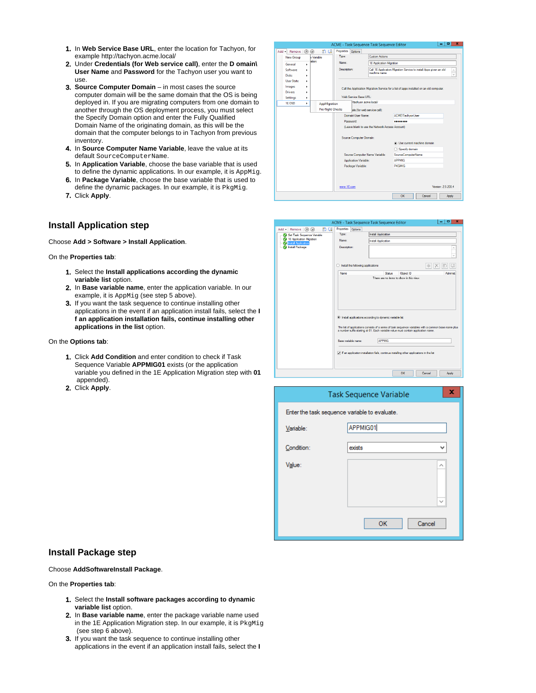- 1. In **Web Service Base URL**, enter the location for Tachyon, for example http://tachyon.acme.local/
- 2. Under **Credentials (for Web service call)**, enter the **D omain\ User Name** and **Password** for the Tachyon user you want to use.
- 3. **Source Computer Domain**  in most cases the source computer domain will be the same domain that the OS is being deployed in. If you are migrating computers from one domain to another through the OS deployment process, you must select the Specify Domain option and enter the Fully Qualified Domain Name of the originating domain, as this will be the domain that the computer belongs to in Tachyon from previous inventory.
- 4. In **Source Computer Name Variable**, leave the value at its default SourceComputerName.
- 5. In **Application Variable**, choose the base variable that is used to define the dynamic applications. In our example, it is AppMig.
- 6. In **Package Variable**, choose the base variable that is used to define the dynamic packages. In our example, it is PkgMig.
- 7. Click **Apply**.

### <span id="page-3-0"></span>**Install Application step**

Choose **Add > Software > Install Application**.

On the **Properties tab**:

- 1. Select the **Install applications according the dynamic variable list** option.
- 2. In **Base variable name**, enter the application variable. In our example, it is AppMig (see step 5 above).
- 3. If you want the task sequence to continue installing other applications in the event if an application install fails, select the **I f an application installation fails, continue installing other applications in the list** option.

#### On the **Options tab**:

- 1. Click **Add Condition** and enter condition to check if Task Sequence Variable **APPMIG01** exists (or the application variable you defined in the 1E Application Migration step with **01** appended).
- 2. Click **Apply**.



| 助唱<br>Properties Options<br>Add + Remove $\circledR$ $\circledR$<br>Type:<br><b>Install Application</b><br><b>M. Set Task Sequence Variable</b><br><sup>2</sup> 1E Application Migration<br>Name:<br>Install Application<br>V: Install Application<br>Install Package<br>Description:<br>$\bigcirc$ Install the following applications<br>Object ID<br>Name<br><b>Status</b><br><b>Administr</b><br>There are no items to show in this view. | ACME - Task Sequence Task Sequence Editor |  | о<br>× |
|----------------------------------------------------------------------------------------------------------------------------------------------------------------------------------------------------------------------------------------------------------------------------------------------------------------------------------------------------------------------------------------------------------------------------------------------|-------------------------------------------|--|--------|
|                                                                                                                                                                                                                                                                                                                                                                                                                                              |                                           |  |        |
|                                                                                                                                                                                                                                                                                                                                                                                                                                              |                                           |  |        |
|                                                                                                                                                                                                                                                                                                                                                                                                                                              |                                           |  |        |
|                                                                                                                                                                                                                                                                                                                                                                                                                                              |                                           |  |        |
|                                                                                                                                                                                                                                                                                                                                                                                                                                              |                                           |  |        |
|                                                                                                                                                                                                                                                                                                                                                                                                                                              |                                           |  |        |
|                                                                                                                                                                                                                                                                                                                                                                                                                                              |                                           |  |        |
|                                                                                                                                                                                                                                                                                                                                                                                                                                              |                                           |  |        |
| last applications according to dynamic variable list<br>The list of applications consists of a series of task sequence variables with a common base name plus<br>a number suffix starting at 01. Each variable value must contain application name.<br><b>APPMIG</b><br>Base variable name:<br>$\triangledown$ if an application installation fails, continue installing other applications in the list                                      |                                           |  |        |
| OK<br>Cancel<br>Apply                                                                                                                                                                                                                                                                                                                                                                                                                        |                                           |  |        |

|                                               | x<br><b>Task Sequence Variable</b> |
|-----------------------------------------------|------------------------------------|
| Enter the task sequence variable to evaluate. |                                    |
| Variable:                                     | APPMIG01                           |
| Condition:                                    | exists<br>v                        |
| Value:                                        | $\wedge$                           |
|                                               |                                    |
|                                               | $\checkmark$                       |
|                                               | OK<br>Cancel                       |

### <span id="page-3-1"></span>**Install Package step**

#### Choose **AddSoftwareInstall Package**.

#### On the **Properties tab**:

- 1. Select the **Install software packages according to dynamic variable list** option.
- 2. In **Base variable name**, enter the package variable name used in the 1E Application Migration step. In our example, it is PkgMig (see step 6 above).
- 3. If you want the task sequence to continue installing other applications in the event if an application install fails, select the **I**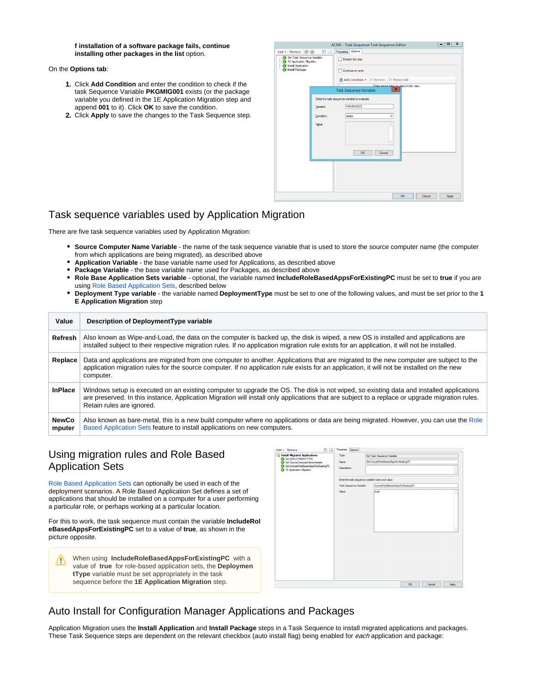#### **f installation of a software package fails, continue installing other packages in the list** option.

On the **Options tab**:

- 1. Click **Add Condition** and enter the condition to check if the task Sequence Variable **PKGMIG001** exists (or the package variable you defined in the 1E Application Migration step and append **001** to it). Click **OK** to save the condition.
- 2. Click **Apply** to save the changes to the Task Sequence step.

|                                                                                                                                                   |                                   | ACME - Task Sequence Task Sequence Editor                                                                                                                                                       | - 1<br>ᄉ |
|---------------------------------------------------------------------------------------------------------------------------------------------------|-----------------------------------|-------------------------------------------------------------------------------------------------------------------------------------------------------------------------------------------------|----------|
| Add - Remove   2 3<br>Set Task Sequence Variable<br>- 2 1E Application Migration<br><b>M</b> Install Application<br><b>Market</b> Install Package | 動く                                | Options<br>Properties<br>Disable this step<br>Continue on error<br>2 Add Condition .   X Remove   X Remove All<br>There are no heme to show in this view.<br>×<br><b>Task Sequence Variable</b> |          |
|                                                                                                                                                   | Variable:<br>Condition:<br>Value: | Enter the task sequence variable to evaluate.<br>PKGMIG001<br>exists<br>$\checkmark$<br>$\overline{\phantom{a}}$<br>OK<br>Cancel                                                                |          |
|                                                                                                                                                   |                                   | OK<br>Cancel                                                                                                                                                                                    | Apply    |

### <span id="page-4-0"></span>Task sequence variables used by Application Migration

There are five task sequence variables used by Application Migration:

- **Source Computer Name Variable** the name of the task sequence variable that is used to store the source computer name (the computer from which applications are being migrated), as described above
- **Application Variable** the base variable name used for Applications, as described above
- **Package Variable** the base variable name used for Packages, as described above
- **Role Base Application Sets variable** optional, the variable named **IncludeRoleBasedAppsForExistingPC** must be set to **true** if you are using [Role Based Application Sets](https://help.1e.com/display/APPMIG31/Role+Based+Application+Sets), described below
- **Deployment Type variable** the variable named **DeploymentType** must be set to one of the following values, and must be set prior to the **1 E Application Migration** step

| Value                  | Description of DeploymentType variable                                                                                                                                                                                                                                                                                  |
|------------------------|-------------------------------------------------------------------------------------------------------------------------------------------------------------------------------------------------------------------------------------------------------------------------------------------------------------------------|
| Refresh                | Also known as Wipe-and-Load, the data on the computer is backed up, the disk is wiped, a new OS is installed and applications are<br>installed subject to their respective migration rules. If no application migration rule exists for an application, it will not be installed.                                       |
| Replace                | Data and applications are migrated from one computer to another. Applications that are migrated to the new computer are subject to the<br>application migration rules for the source computer. If no application rule exists for an application, it will not be installed on the new<br>computer.                       |
| <b>InPlace</b>         | Windows setup is executed on an existing computer to upgrade the OS. The disk is not wiped, so existing data and installed applications<br>are preserved. In this instance, Application Migration will install only applications that are subject to a replace or upgrade migration rules.<br>Retain rules are ignored. |
| <b>NewCo</b><br>mputer | Also known as bare-metal, this is a new build computer where no applications or data are being migrated. However, you can use the Role<br>Based Application Sets feature to install applications on new computers.                                                                                                      |

# <span id="page-4-1"></span>Using migration rules and Role Based Application Sets

[Role Based Application Sets](https://help.1e.com/display/APPMIG31/Role+Based+Application+Sets) can optionally be used in each of the deployment scenarios. A Role Based Application Set defines a set of applications that should be installed on a computer for a user performing a particular role, or perhaps working at a particular location.

For this to work, the task sequence must contain the variable **IncludeRol eBasedAppsForExistingPC** set to a value of **true**, as shown in the picture opposite.

| Ţ | When using IncludeRoleBasedAppsForExistingPC with a          |
|---|--------------------------------------------------------------|
|   | value of true for role-based application sets, the Deploymen |
|   | <b>tType</b> variable must be set appropriately in the task  |
|   | sequence before the 1E Application Migration step.           |

| Install Migrated Applications<br>Set DEPLOYMENTTYPE<br>Le Set SourceComputerNameVariable<br>C Set IncludeRoleBasedAppsForExistingPC | Type:                                            | Set Task Sequence Variable            |                                   |        |              |
|-------------------------------------------------------------------------------------------------------------------------------------|--------------------------------------------------|---------------------------------------|-----------------------------------|--------|--------------|
|                                                                                                                                     |                                                  |                                       |                                   |        |              |
|                                                                                                                                     | Name:                                            | Set IncludeRoleBasedAposForExistingPC |                                   |        |              |
| <sup>2</sup> 1E Application Migration                                                                                               | Description:                                     |                                       |                                   |        | $\hat{a}$    |
|                                                                                                                                     | Enter the task sequence variable name and value. |                                       |                                   |        |              |
|                                                                                                                                     | Task Sequence Variable:                          |                                       | IncludeRoleBasedAppsForExistingPC |        |              |
|                                                                                                                                     | Value:                                           | Inuel                                 |                                   |        | ۸            |
|                                                                                                                                     |                                                  |                                       |                                   |        | $\checkmark$ |
|                                                                                                                                     |                                                  |                                       |                                   |        |              |
|                                                                                                                                     |                                                  |                                       | OK                                | Cancel | <b>Apply</b> |

# <span id="page-4-2"></span>Auto Install for Configuration Manager Applications and Packages

Application Migration uses the **Install Application** and **Install Package** steps in a Task Sequence to install migrated applications and packages. These Task Sequence steps are dependent on the relevant checkbox (auto install flag) being enabled for each application and package: